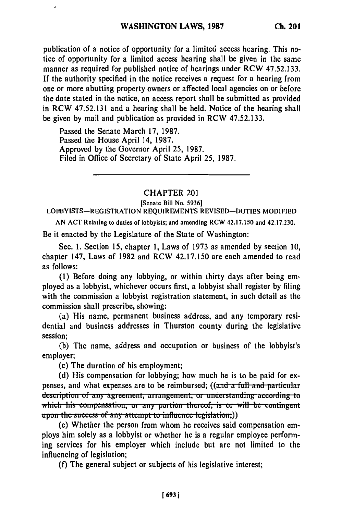publication of a notice of opportunity for a limited access hearing. This notice of opportunity for a limited access hearing shall be given in the same manner as required for published notice of hearings under RCW **47.52.133. If** the authority specified in the notice receives a request for a hearing from one or more abutting property owners or affected local agencies on or before the date stated in the notice, an access report shall be submitted as provided in RCW **47.52.131** and a hearing shall be held. Notice of the hearing shall be given **by** mail and publication as provided in RCW **47.52.133.**

Passed the Senate March **17, 1987.** Passed the House April 14, **1987.** Approved **by** the Governor April **25, 1987.** Filed in Office of Secretary of State April **25, 1987.**

## CHAPTER 201

[Senate Bill No. **5936]**

LOBBYISTS-REGISTRATION **REQUIREMENTS REVISED-DUTIES** MODIFIED

**AN ACT** Relating to duties of lobbyists; and amending RCW 42.17.150 and 42.17.230.

Be it enacted **by** the Legislature of the State of Washington:

Sec. **1.** Section **15,** chapter **1,** Laws of **1973** as amended **by** section **10,** chapter 147, Laws of **1982** and RCW 42.17.150 are each amended to read as follows:

**(1)** Before doing any lobbying, or within thirty days after being employed as a lobbyist, whichever occurs first, a lobbyist shall register **by** filing with the commission a lobbyist registration statement, in such detail as the commission shall prescribe, showing:

(a) His name, permanent business address, and any temporary residential and business addresses in Thurston county during the legislative session;

(b) The name, address and occupation or business of the lobbyist's employer;

(c) The duration of his employment;

(d) His compensation for lobbying; how much he is to be paid for expenses, and what expenses are to be reimbursed; ((and a **fall and** pat which his compensation, or any portion thereof, is or will be contingent upon the success of any attempt to influence legislation;))<br>(e) Whether the person from whom he receives said compensation em-

ploys him solely as a lobbyist or whether he is a regular employee performing services for his employer which include but are not limited to the influencing of legislation;

(f) The general subject or subjects of his legislative interest;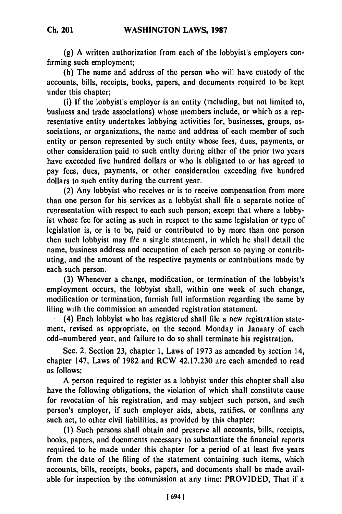**(g)** A written authorization from each of the lobbyist's employers confirming such employment;

(h) The name and address of the person who will have custody of the accounts, bills, receipts, books, papers, and documents required to be kept under this chapter;

(i) **If** the lobbyist's employer is an entity (including, but not limited to, business and trade associations) whose members include, or which as a representative entity undertakes lobbying activities for, businesses, groups, associations, or organizations, the name and address of each member of such entity or person represented **by** such entity whose fees, dues, payments, or other consideration paid to such entity during either of the prior two years have exceeded five hundred dollars or who is obligated to or has agreed to pay fees, dues, payments, or other consideration exceeding five hundred dollars to such entity during the current year.

(2) Any lobbyist who receives or is to receive compensation from more than one person for his services as a lobbyist shall file a separate notice of representation with respect to each such person; except that where a lobbyist whose fee for acting as such in respect to the same legislation or type of legislation is, or is to be, paid or contributed to **by** more than one person then such lobbyist may file a single statement, in which he shall detail the name, business address and occupation of each person so paying or contributing, and the amount of the respective payments or contributions made **by** each such person.

**(3)** Whenever a change, modification, or termination of the lobbyist's employment occurs, the lobbyist shall, within one week of such change, modification or termination, furnish full information regarding the same **by** filing with the commission an amended registration statement.

(4) Each lobbyist who has registered shall file a new registration statement, revised as appropriate, on the second Monday in January of each odd-numbered year, and failure to do so shall terminate his registration.

Sec. 2. Section **23,** chapter **1,** Laws of **1973** as amended **by** section 14, chapter 147, Laws of **1982** and RCW 42.17.230 are each amended to read as follows:

**A** person required to register as a lobbyist under this chapter shall also have the following obligations, the violation of which shall constitute cause for revocation of his registration, and may subject such person, and such person's employer, if such employer aids, abets, ratifies, or confirms any such act, to other civil liabilities, as provided **by** this chapter:

**(1)** Such persons shall obtain and preserve all accounts, bills, receipts, books, papers, and documents necessary to substantiate the financial reports required to be made under this chapter for a period of at least five years from the date of the filing of the statement containing such items, which accounts, bills, receipts, books, papers, and documents shall be made available for inspection **by** the commission at any time: PROVIDED, That if a